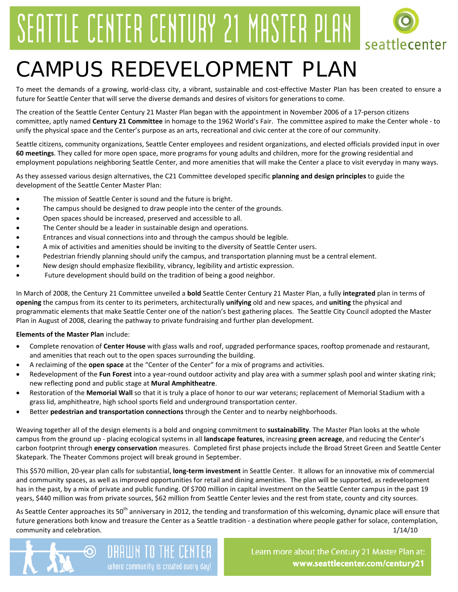# SEATTLE CENTER CENTURY 21 MASTER PLAN



## CAMPUS REDEVELOPMENT PLAN

To meet the demands of a growing, world-class city, a vibrant, sustainable and cost-effective Master Plan has been created to ensure a future for Seattle Center that will serve the diverse demands and desires of visitors for generations to come.

The creation of the Seattle Center Century 21 Master Plan began with the appointment in November 2006 of a 17-person citizens committee, aptly named **Century 21 Committee** in homage to the 1962 World's Fair. The committee aspired to make the Center whole - to unify the physical space and the Center's purpose as an arts, recreational and civic center at the core of our community.

Seattle citizens, community organizations, Seattle Center employees and resident organizations, and elected officials provided input in over **60 meetings**. They called for more open space, more programs for young adults and children, more for the growing residential and employment populations neighboring Seattle Center, and more amenities that will make the Center a place to visit everyday in many ways.

As they assessed various design alternatives, the C21 Committee developed specific **planning and design principles** to guide the development of the Seattle Center Master Plan:

- The mission of Seattle Center is sound and the future is bright.
- The campus should be designed to draw people into the center of the grounds.
- Open spaces should be increased, preserved and accessible to all.
- The Center should be a leader in sustainable design and operations.
- Entrances and visual connections into and through the campus should be legible.
- A mix of activities and amenities should be inviting to the diversity of Seattle Center users.
- Pedestrian friendly planning should unify the campus, and transportation planning must be a central element.
- New design should emphasize flexibility, vibrancy, legibility and artistic expression.
- Future development should build on the tradition of being a good neighbor.

In March of 2008, the Century 21 Committee unveiled a **bold** Seattle Center Century 21 Master Plan, a fully **integrated** plan in terms of **opening** the campus from its center to its perimeters, architecturally **unifying** old and new spaces, and **uniting** the physical and programmatic elements that make Seattle Center one of the nation's best gathering places. The Seattle City Council adopted the Master Plan in August of 2008, clearing the pathway to private fundraising and further plan development.

### **Elements of the Master Plan** include:

- Complete renovation of **Center House** with glass walls and roof, upgraded performance spaces, rooftop promenade and restaurant, and amenities that reach out to the open spaces surrounding the building.
- A reclaiming of the **open space** at the "Center of the Center" for a mix of programs and activities.
- Redevelopment of the **Fun Forest** into a year-round outdoor activity and play area with a summer splash pool and winter skating rink; new reflecting pond and public stage at **Mural Amphitheatre**.
- Restoration of the **Memorial Wall** so that it is truly a place of honor to our war veterans; replacement of Memorial Stadium with a grass lid, amphitheatre, high school sports field and underground transportation center.
- Better **pedestrian and transportation connections** through the Center and to nearby neighborhoods.

Weaving together all of the design elements is a bold and ongoing commitment to **sustainability**. The Master Plan looks at the whole campus from the ground up - placing ecological systems in all **landscape features**, increasing **green acreage**, and reducing the Center's carbon footprint through **energy conservation** measures. Completed first phase projects include the Broad Street Green and Seattle Center Skatepark. The Theater Commons project will break ground in September.

This \$570 million, 20-year plan calls for substantial, **long-term investment** in Seattle Center. It allows for an innovative mix of commercial and community spaces, as well as improved opportunities for retail and dining amenities. The plan will be supported, as redevelopment has in the past, by a mix of private and public funding. Of \$700 million in capital investment on the Seattle Center campus in the past 19 years, \$440 million was from private sources, \$62 million from Seattle Center levies and the rest from state, county and city sources.

As Seattle Center approaches its 50<sup>th</sup> anniversary in 2012, the tending and transformation of this welcoming, dynamic place will ensure that future generations both know and treasure the Center as a Seattle tradition - a destination where people gather for solace, contemplation, community and celebration. The same of the state of the state of the state of the state of the state of the state of the state of the state of the state of the state of the state of the state of the state of the state of t



Learn more about the Century 21 Master Plan at: www.seattlecenter.com/century21